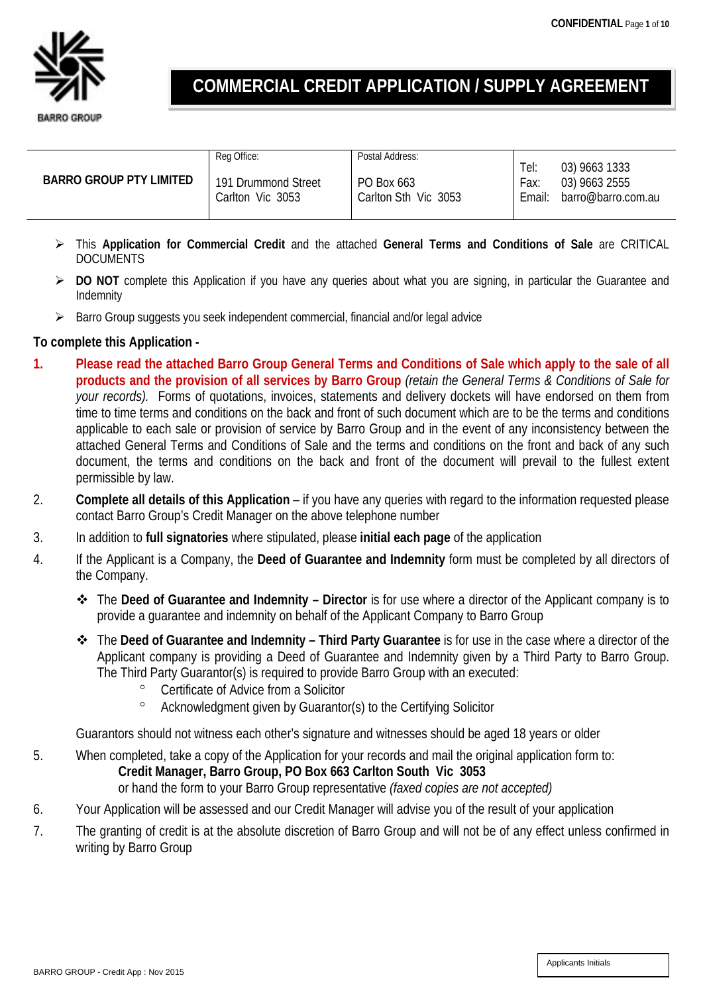# **COMMERCIAL CREDIT APPLICATION / SUPPLY AGREEMENT**

|                                | Reg Office:         | Postal Address:      |        |                    |
|--------------------------------|---------------------|----------------------|--------|--------------------|
| <b>BARRO GROUP PTY LIMITED</b> |                     |                      | Tel:   | 03) 9663 1333      |
|                                | 191 Drummond Street | PO Box 663           | Fax:   | 03) 9663 2555      |
|                                | Carlton Vic 3053    | Carlton Sth Vic 3053 | Email: | barro@barro.com.au |
|                                |                     |                      |        |                    |

- This **Application for Commercial Credit** and the attached **General Terms and Conditions of Sale** are CRITICAL DOCUMENTS
- **DO NOT** complete this Application if you have any queries about what you are signing, in particular the Guarantee and Indemnity
- $\triangleright$  Barro Group suggests you seek independent commercial, financial and/or legal advice

# **To complete this Application -**

- **1. Please read the attached Barro Group General Terms and Conditions of Sale which apply to the sale of all products and the provision of all services by Barro Group** *(retain the General Terms & Conditions of Sale for your records).* Forms of quotations, invoices, statements and delivery dockets will have endorsed on them from time to time terms and conditions on the back and front of such document which are to be the terms and conditions applicable to each sale or provision of service by Barro Group and in the event of any inconsistency between the attached General Terms and Conditions of Sale and the terms and conditions on the front and back of any such document, the terms and conditions on the back and front of the document will prevail to the fullest extent permissible by law.
- 2. **Complete all details of this Application** if you have any queries with regard to the information requested please contact Barro Group's Credit Manager on the above telephone number
- 3. In addition to **full signatories** where stipulated, please **initial each page** of the application
- 4. If the Applicant is a Company, the **Deed of Guarantee and Indemnity** form must be completed by all directors of the Company.
	- The **Deed of Guarantee and Indemnity – Director** is for use where a director of the Applicant company is to provide a guarantee and indemnity on behalf of the Applicant Company to Barro Group
	- The **Deed of Guarantee and Indemnity – Third Party Guarantee** is for use in the case where a director of the Applicant company is providing a Deed of Guarantee and Indemnity given by a Third Party to Barro Group. The Third Party Guarantor(s) is required to provide Barro Group with an executed:
		- ° Certificate of Advice from a Solicitor
		- ° Acknowledgment given by Guarantor(s) to the Certifying Solicitor

Guarantors should not witness each other's signature and witnesses should be aged 18 years or older

- 5. When completed, take a copy of the Application for your records and mail the original application form to: **Credit Manager, Barro Group, PO Box 663 Carlton South Vic 3053** or hand the form to your Barro Group representative *(faxed copies are not accepted)*
- 6. Your Application will be assessed and our Credit Manager will advise you of the result of your application
- 7. The granting of credit is at the absolute discretion of Barro Group and will not be of any effect unless confirmed in writing by Barro Group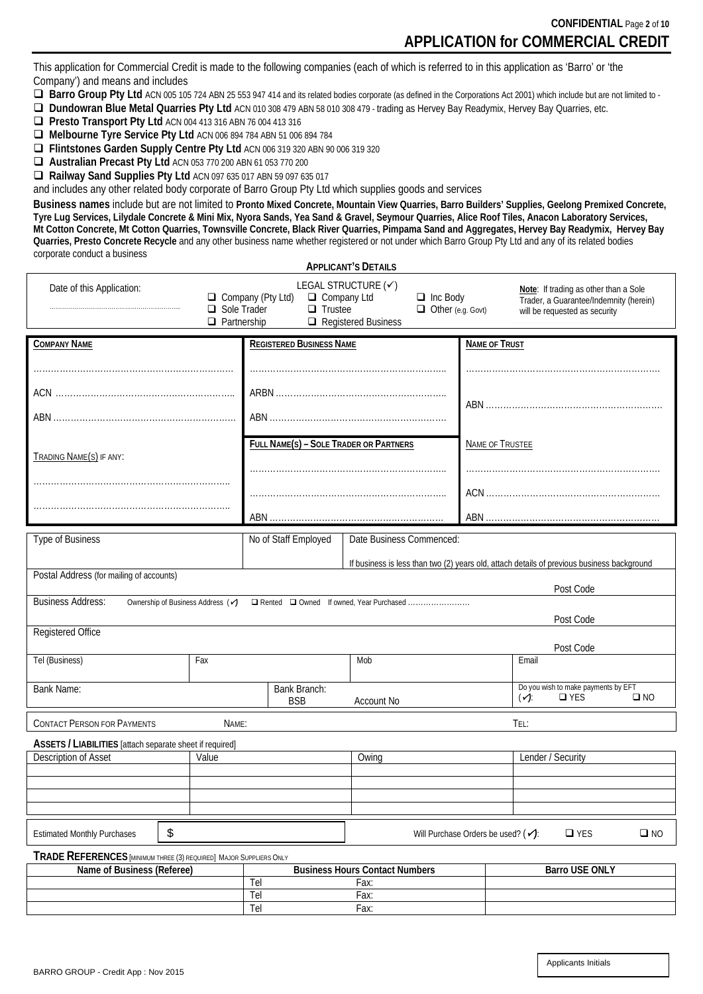This application for Commercial Credit is made to the following companies (each of which is referred to in this application as 'Barro' or 'the Company') and means and includes

■ Barro Group Pty Ltd ACN 005 105 724 ABN 25 553 947 414 and its related bodies corporate (as defined in the Corporations Act 2001) which include but are not limited to -

**Dundowran Blue Metal Quarries Pty Ltd** ACN 010 308 479 ABN 58 010 308 479 - trading as Hervey Bay Readymix, Hervey Bay Quarries, etc.

**Presto Transport Pty Ltd ACN 004 413 316 ABN 76 004 413 316** 

**Melbourne Tyre Service Pty Ltd** ACN 006 894 784 ABN 51 006 894 784

**Flintstones Garden Supply Centre Pty Ltd** ACN 006 319 320 ABN 90 006 319 320

**Australian Precast Pty Ltd** ACN 053 770 200 ABN 61 053 770 200

**Railway Sand Supplies Pty Ltd** ACN 097 635 017 ABN 59 097 635 017

and includes any other related body corporate of Barro Group Pty Ltd which supplies goods and services

**Business names** include but are not limited to **Pronto Mixed Concrete, Mountain View Quarries, Barro Builders' Supplies, Geelong Premixed Concrete, Tyre Lug Services, Lilydale Concrete & Mini Mix, Nyora Sands, Yea Sand & Gravel, Seymour Quarries, Alice Roof Tiles, Anacon Laboratory Services, Mt Cotton Concrete, Mt Cotton Quarries, Townsville Concrete, Black River Quarries, Pimpama Sand and Aggregates, Hervey Bay Readymix, Hervey Bay Quarries, Presto Concrete Recycle** and any other business name whether registered or not under which Barro Group Pty Ltd and any of its related bodies corporate conduct a business **APPLICANT'S DETAILS**

| APPLICANT'S DETAILS                                                                                                 |                                   |                                                                  |                                                                                                  |                        |                                                                                                                  |              |
|---------------------------------------------------------------------------------------------------------------------|-----------------------------------|------------------------------------------------------------------|--------------------------------------------------------------------------------------------------|------------------------|------------------------------------------------------------------------------------------------------------------|--------------|
| Date of this Application:                                                                                           | Sole Trader<br>$\Box$ Partnership | $\Box$ Company (Pty Ltd)<br>$\Box$ Company Ltd<br>$\Box$ Trustee | LEGAL STRUCTURE (√)<br>$\Box$ Inc Body<br>$\Box$ Other (e.g. Govt)<br>$\Box$ Registered Business |                        | Note: If trading as other than a Sole<br>Trader, a Guarantee/Indemnity (herein)<br>will be requested as security |              |
| <b>COMPANY NAME</b>                                                                                                 |                                   | <b>REGISTERED BUSINESS NAME</b>                                  |                                                                                                  | <b>NAME OF TRUST</b>   |                                                                                                                  |              |
|                                                                                                                     |                                   |                                                                  |                                                                                                  |                        |                                                                                                                  |              |
|                                                                                                                     |                                   |                                                                  |                                                                                                  |                        |                                                                                                                  |              |
|                                                                                                                     |                                   |                                                                  |                                                                                                  |                        |                                                                                                                  |              |
|                                                                                                                     |                                   |                                                                  |                                                                                                  |                        |                                                                                                                  |              |
|                                                                                                                     |                                   |                                                                  |                                                                                                  |                        |                                                                                                                  |              |
|                                                                                                                     |                                   |                                                                  |                                                                                                  |                        |                                                                                                                  |              |
|                                                                                                                     |                                   | <b>FULL NAME(S) - SOLE TRADER OR PARTNERS</b>                    |                                                                                                  | <b>NAME OF TRUSTEE</b> |                                                                                                                  |              |
| TRADING NAME(S) IF ANY:                                                                                             |                                   |                                                                  |                                                                                                  |                        |                                                                                                                  |              |
|                                                                                                                     |                                   |                                                                  |                                                                                                  |                        |                                                                                                                  |              |
|                                                                                                                     |                                   |                                                                  |                                                                                                  |                        |                                                                                                                  |              |
|                                                                                                                     |                                   |                                                                  |                                                                                                  |                        |                                                                                                                  |              |
|                                                                                                                     |                                   |                                                                  |                                                                                                  |                        |                                                                                                                  |              |
|                                                                                                                     |                                   |                                                                  |                                                                                                  |                        |                                                                                                                  |              |
| Type of Business                                                                                                    |                                   | No of Staff Employed                                             | Date Business Commenced:                                                                         |                        |                                                                                                                  |              |
|                                                                                                                     |                                   |                                                                  |                                                                                                  |                        |                                                                                                                  |              |
| Postal Address (for mailing of accounts)                                                                            |                                   |                                                                  |                                                                                                  |                        | If business is less than two (2) years old, attach details of previous business background                       |              |
|                                                                                                                     |                                   |                                                                  |                                                                                                  |                        | Post Code                                                                                                        |              |
| <b>Business Address:</b><br>Ownership of Business Address (✔)                                                       |                                   |                                                                  |                                                                                                  |                        |                                                                                                                  |              |
|                                                                                                                     |                                   |                                                                  |                                                                                                  |                        |                                                                                                                  |              |
|                                                                                                                     |                                   |                                                                  |                                                                                                  |                        | Post Code                                                                                                        |              |
| Registered Office                                                                                                   |                                   |                                                                  |                                                                                                  |                        |                                                                                                                  |              |
|                                                                                                                     |                                   |                                                                  |                                                                                                  |                        | Post Code                                                                                                        |              |
| Tel (Business)                                                                                                      | Fax                               |                                                                  | Mob                                                                                              |                        | Email                                                                                                            |              |
|                                                                                                                     |                                   |                                                                  |                                                                                                  |                        | Do you wish to make payments by EFT                                                                              |              |
| <b>Bank Name:</b>                                                                                                   |                                   | Bank Branch:<br><b>BSB</b>                                       | Account No                                                                                       |                        | $(\checkmark)$<br>$\square$ YES                                                                                  | $\square$ NO |
|                                                                                                                     |                                   |                                                                  |                                                                                                  |                        |                                                                                                                  |              |
| <b>CONTACT PERSON FOR PAYMENTS</b>                                                                                  | NAME:                             |                                                                  |                                                                                                  |                        | TEL:                                                                                                             |              |
| ASSETS / LIABILITIES [attach separate sheet if required]                                                            |                                   |                                                                  |                                                                                                  |                        |                                                                                                                  |              |
| Description of Asset                                                                                                | Value                             |                                                                  | Owing                                                                                            |                        | Lender / Security                                                                                                |              |
|                                                                                                                     |                                   |                                                                  |                                                                                                  |                        |                                                                                                                  |              |
|                                                                                                                     |                                   |                                                                  |                                                                                                  |                        |                                                                                                                  |              |
|                                                                                                                     |                                   |                                                                  |                                                                                                  |                        |                                                                                                                  |              |
|                                                                                                                     |                                   |                                                                  |                                                                                                  |                        |                                                                                                                  |              |
|                                                                                                                     |                                   |                                                                  |                                                                                                  |                        |                                                                                                                  |              |
| ${\mathbb S}$<br>Will Purchase Orders be used? $(\checkmark)$ :<br>$\Box$ YES<br><b>Estimated Monthly Purchases</b> |                                   |                                                                  |                                                                                                  | $\square$ NO           |                                                                                                                  |              |
| TRADE REFERENCES [MINIMUM THREE (3) REQUIRED] MAJOR SUPPLIERS ONLY                                                  |                                   |                                                                  |                                                                                                  |                        |                                                                                                                  |              |
| Name of Business (Referee)                                                                                          |                                   |                                                                  | <b>Business Hours Contact Numbers</b>                                                            |                        | <b>Barro USE ONLY</b>                                                                                            |              |
| Tel                                                                                                                 |                                   |                                                                  | Fax:                                                                                             |                        |                                                                                                                  |              |

Tel Fax: Tel Fax: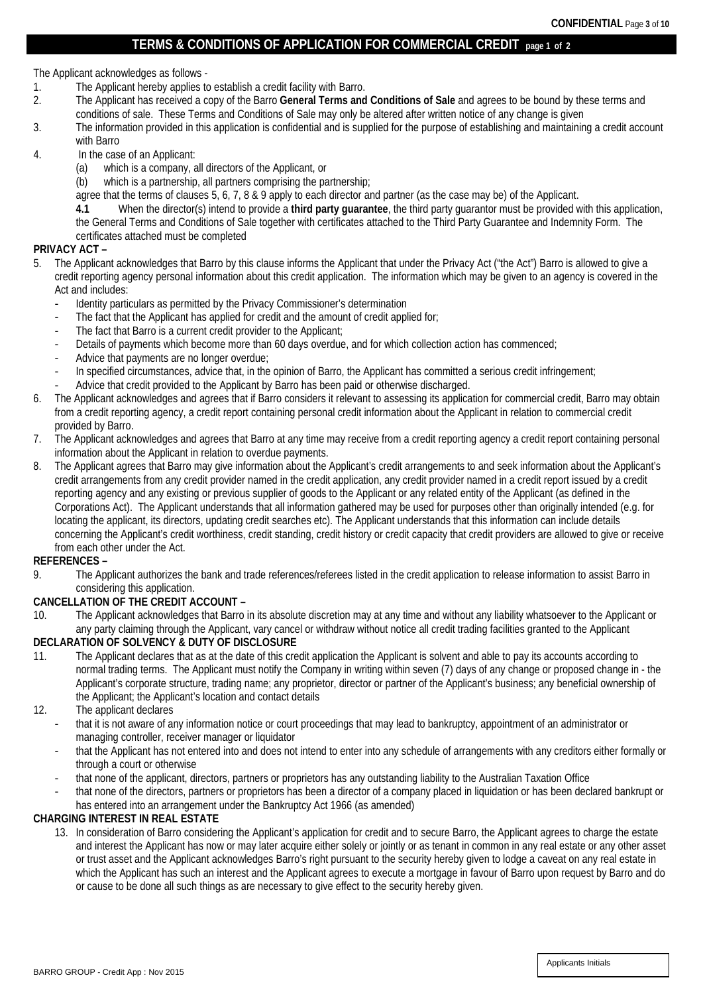## **TERMS & CONDITIONS OF APPLICATION FOR COMMERCIAL CREDIT page 1 of <sup>2</sup>**

The Applicant acknowledges as follows -

- 1. The Applicant hereby applies to establish a credit facility with Barro.<br>2. The Applicant has received a copy of the Barro General Terms and
- 2. The Applicant has received a copy of the Barro **General Terms and Conditions of Sale** and agrees to be bound by these terms and conditions of sale. These Terms and Conditions of Sale may only be altered after written notice of any change is given
- 3. The information provided in this application is confidential and is supplied for the purpose of establishing and maintaining a credit account with Barro
- 4. In the case of an Applicant:
	- (a) which is a company, all directors of the Applicant, or
	- (b) which is a partnership, all partners comprising the partnership;
	- agree that the terms of clauses 5, 6, 7, 8 & 9 apply to each director and partner (as the case may be) of the Applicant.
	- **4.1** When the director(s) intend to provide a **third party guarantee**, the third party guarantor must be provided with this application,

the General Terms and Conditions of Sale together with certificates attached to the Third Party Guarantee and Indemnity Form. The certificates attached must be completed

### **PRIVACY ACT –**

- 5. The Applicant acknowledges that Barro by this clause informs the Applicant that under the Privacy Act ("the Act") Barro is allowed to give a credit reporting agency personal information about this credit application. The information which may be given to an agency is covered in the Act and includes:
	- Identity particulars as permitted by the Privacy Commissioner's determination
	- The fact that the Applicant has applied for credit and the amount of credit applied for;
	- The fact that Barro is a current credit provider to the Applicant;
	- Details of payments which become more than 60 days overdue, and for which collection action has commenced;
	- Advice that payments are no longer overdue;
	- In specified circumstances, advice that, in the opinion of Barro, the Applicant has committed a serious credit infringement;
	- Advice that credit provided to the Applicant by Barro has been paid or otherwise discharged.
- 6. The Applicant acknowledges and agrees that if Barro considers it relevant to assessing its application for commercial credit, Barro may obtain from a credit reporting agency, a credit report containing personal credit information about the Applicant in relation to commercial credit provided by Barro.
- 7. The Applicant acknowledges and agrees that Barro at any time may receive from a credit reporting agency a credit report containing personal information about the Applicant in relation to overdue payments.
- 8. The Applicant agrees that Barro may give information about the Applicant's credit arrangements to and seek information about the Applicant's credit arrangements from any credit provider named in the credit application, any credit provider named in a credit report issued by a credit reporting agency and any existing or previous supplier of goods to the Applicant or any related entity of the Applicant (as defined in the Corporations Act). The Applicant understands that all information gathered may be used for purposes other than originally intended (e.g. for locating the applicant, its directors, updating credit searches etc). The Applicant understands that this information can include details concerning the Applicant's credit worthiness, credit standing, credit history or credit capacity that credit providers are allowed to give or receive from each other under the Act.

## **REFERENCES –**

9. The Applicant authorizes the bank and trade references/referees listed in the credit application to release information to assist Barro in considering this application.

## **CANCELLATION OF THE CREDIT ACCOUNT –**

10. The Applicant acknowledges that Barro in its absolute discretion may at any time and without any liability whatsoever to the Applicant or any party claiming through the Applicant, vary cancel or withdraw without notice all credit trading facilities granted to the Applicant

## **DECLARATION OF SOLVENCY & DUTY OF DISCLOSURE**

- 11. The Applicant declares that as at the date of this credit application the Applicant is solvent and able to pay its accounts according to normal trading terms. The Applicant must notify the Company in writing within seven (7) days of any change or proposed change in - the Applicant's corporate structure, trading name; any proprietor, director or partner of the Applicant's business; any beneficial ownership of the Applicant; the Applicant's location and contact details
- 12. The applicant declares
	- that it is not aware of any information notice or court proceedings that may lead to bankruptcy, appointment of an administrator or managing controller, receiver manager or liquidator
	- that the Applicant has not entered into and does not intend to enter into any schedule of arrangements with any creditors either formally or through a court or otherwise
	- that none of the applicant, directors, partners or proprietors has any outstanding liability to the Australian Taxation Office
	- that none of the directors, partners or proprietors has been a director of a company placed in liquidation or has been declared bankrupt or has entered into an arrangement under the Bankruptcy Act 1966 (as amended)

## **CHARGING INTEREST IN REAL ESTATE**

13. In consideration of Barro considering the Applicant's application for credit and to secure Barro, the Applicant agrees to charge the estate and interest the Applicant has now or may later acquire either solely or jointly or as tenant in common in any real estate or any other asset or trust asset and the Applicant acknowledges Barro's right pursuant to the security hereby given to lodge a caveat on any real estate in which the Applicant has such an interest and the Applicant agrees to execute a mortgage in favour of Barro upon request by Barro and do or cause to be done all such things as are necessary to give effect to the security hereby given.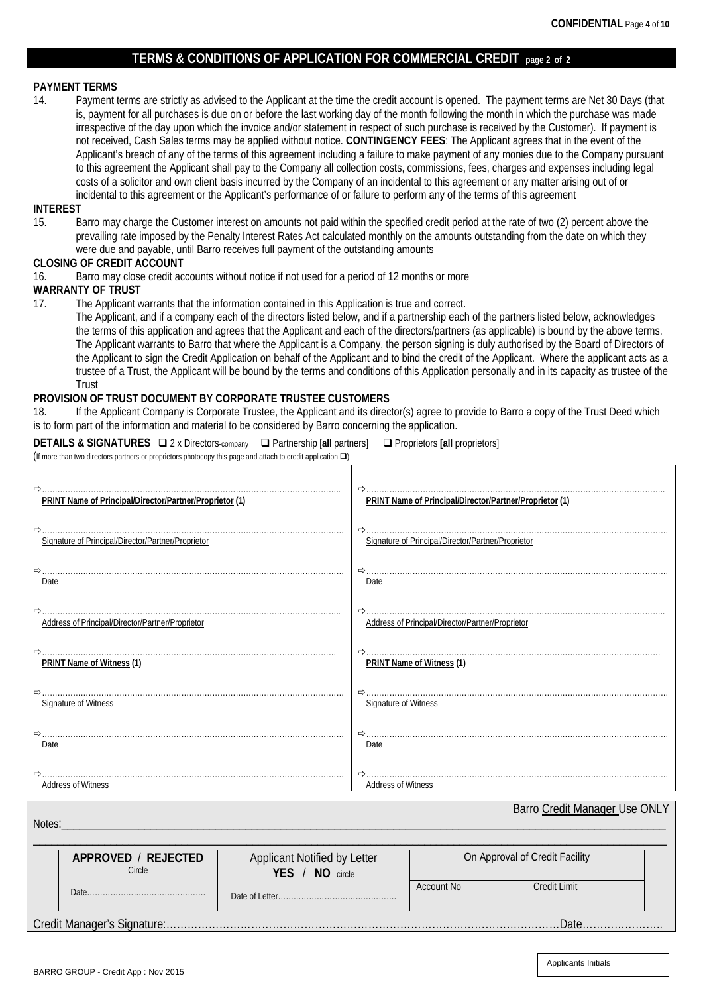## **TERMS & CONDITIONS OF APPLICATION FOR COMMERCIAL CREDIT page 2 of 2**

# **PAYMENT TERMS**<br>14. **Payment**

Payment terms are strictly as advised to the Applicant at the time the credit account is opened. The payment terms are Net 30 Days (that is, payment for all purchases is due on or before the last working day of the month following the month in which the purchase was made irrespective of the day upon which the invoice and/or statement in respect of such purchase is received by the Customer). If payment is not received, Cash Sales terms may be applied without notice. **CONTINGENCY FEES**: The Applicant agrees that in the event of the Applicant's breach of any of the terms of this agreement including a failure to make payment of any monies due to the Company pursuant to this agreement the Applicant shall pay to the Company all collection costs, commissions, fees, charges and expenses including legal costs of a solicitor and own client basis incurred by the Company of an incidental to this agreement or any matter arising out of or incidental to this agreement or the Applicant's performance of or failure to perform any of the terms of this agreement

#### **INTEREST**

15. Barro may charge the Customer interest on amounts not paid within the specified credit period at the rate of two (2) percent above the prevailing rate imposed by the Penalty Interest Rates Act calculated monthly on the amounts outstanding from the date on which they were due and payable, until Barro receives full payment of the outstanding amounts

# **CLOSING OF CREDIT ACCOUNT**<br>16. Barro may close credit ac

Barro may close credit accounts without notice if not used for a period of 12 months or more

# **WARRANTY OF TRUST**<br>17. The Applicant w

The Applicant warrants that the information contained in this Application is true and correct.

The Applicant, and if a company each of the directors listed below, and if a partnership each of the partners listed below, acknowledges the terms of this application and agrees that the Applicant and each of the directors/partners (as applicable) is bound by the above terms. The Applicant warrants to Barro that where the Applicant is a Company, the person signing is duly authorised by the Board of Directors of the Applicant to sign the Credit Application on behalf of the Applicant and to bind the credit of the Applicant. Where the applicant acts as a trustee of a Trust, the Applicant will be bound by the terms and conditions of this Application personally and in its capacity as trustee of the Trust

## **PROVISION OF TRUST DOCUMENT BY CORPORATE TRUSTEE CUSTOMERS**

18. If the Applicant Company is Corporate Trustee, the Applicant and its director(s) agree to provide to Barro a copy of the Trust Deed which is to form part of the information and material to be considered by Barro concerning the application.

**DETAILS & SIGNATURES** □ 2 x Directors-company □ Partnership [all partners] □ Proprietors [all proprietors] (If more than two directors partners or proprietors photocopy this page and attach to credit application  $\square$ )

| PRINT Name of Principal/Director/Partner/Proprietor (1) | PRINT Name of Principal/Director/Partner/Proprietor (1) |
|---------------------------------------------------------|---------------------------------------------------------|
|                                                         |                                                         |
| Signature of Principal/Director/Partner/Proprietor      | Signature of Principal/Director/Partner/Proprietor      |
|                                                         |                                                         |
| Date                                                    | Date                                                    |
|                                                         |                                                         |
| Address of Principal/Director/Partner/Proprietor        | Address of Principal/Director/Partner/Proprietor        |
|                                                         |                                                         |
| PRINT Name of Witness (1)                               | PRINT Name of Witness (1)                               |
|                                                         |                                                         |
| Signature of Witness                                    | Signature of Witness                                    |
|                                                         |                                                         |
| Date                                                    | Date                                                    |
|                                                         |                                                         |
| <b>Address of Witness</b>                               | <b>Address of Witness</b>                               |

Notes:\_\_\_\_\_\_\_\_\_\_\_\_\_\_\_\_\_\_\_\_\_\_\_\_\_\_\_\_\_\_\_\_\_\_\_\_\_\_\_\_\_\_\_\_\_\_\_\_\_\_\_\_\_\_\_\_\_\_\_\_\_\_\_\_\_\_\_\_\_\_\_\_\_\_\_\_\_\_\_\_\_\_\_\_\_\_\_\_\_\_\_\_\_\_\_\_\_\_\_\_\_\_

\_\_\_\_\_\_\_\_\_\_\_\_\_\_\_\_\_\_\_\_\_\_\_\_\_\_\_\_\_\_\_\_\_\_\_\_\_\_\_\_\_\_\_\_\_\_\_\_\_\_\_\_\_\_\_\_\_\_\_\_\_\_\_\_\_\_\_\_\_\_\_\_\_\_\_\_\_\_\_\_\_\_\_\_\_\_\_\_\_\_\_\_\_\_\_\_\_\_\_\_\_\_\_\_\_\_\_ **APPROVED** / **REJECTED** Circle Date………………………………………. Applicant Notified by Letter **YES** / **NO** circle Date of Letter…… On Approval of Credit Facility Account No Credit Limit

Credit Manager's Signature:…………………………………………………………………………………………………Date…………………..

Barro Credit Manager Use ONLY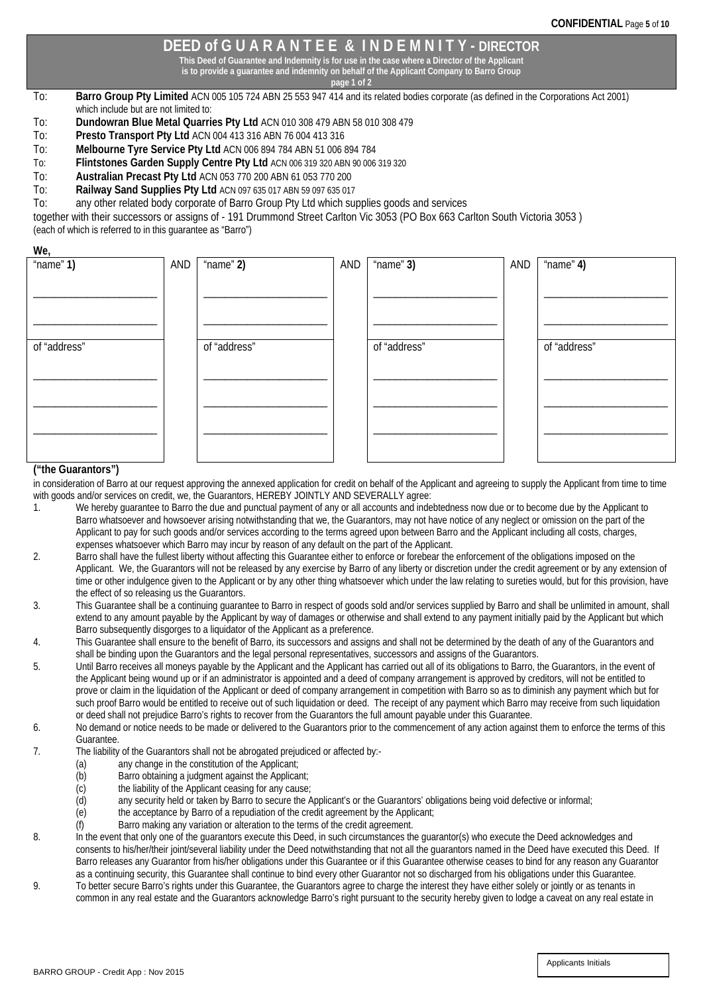## **DEED of G U A R A N T E E & I N D E M N I T Y - DIRECTOR**

**This Deed of Guarantee and Indemnity is for use in the case where a Director of the Applicant**

**is to provide a guarantee and indemnity on behalf of the Applicant Company to Barro Group page 1 of 2**

- To: **Barro Group Pty Limited** ACN 005 105 724 ABN 25 553 947 414 and its related bodies corporate (as defined in the Corporations Act 2001) which include but are not limited to:
- To: **Dundowran Blue Metal Quarries Pty Ltd** ACN 010 308 479 ABN 58 010 308 479
- To: **Presto Transport Pty Ltd** ACN 004 413 316 ABN 76 004 413 316
- To: **Melbourne Tyre Service Pty Ltd** ACN 006 894 784 ABN 51 006 894 784
- To: **Flintstones Garden Supply Centre Pty Ltd** ACN 006 319 320 ABN 90 006 319 320<br>To: **Australian Precast Pty Ltd** ACN 053 770 200 ABN 61 053 770 200
- 
- To: **Australian Precast Pty Ltd** ACN 053 770 200 ABN 61 053 770 200

To: **Railway Sand Supplies Pty Ltd** ACN 097 635 017 ABN 59 097 635 017 any other related body corporate of Barro Group Pty Ltd which supplies goods and services

together with their successors or assigns of - 191 Drummond Street Carlton Vic 3053 (PO Box 663 Carlton South Victoria 3053 ) (each of which is referred to in this guarantee as "Barro")

**We,**

| ---1<br>" $name"1)$ | AND | " $name"2)$  | AND | " $name"$ 3) | AND | "name" $4$ ) |
|---------------------|-----|--------------|-----|--------------|-----|--------------|
|                     |     |              |     |              |     |              |
|                     |     |              |     |              |     |              |
|                     |     |              |     |              |     |              |
| of "address"        |     | of "address" |     | of "address" |     | of "address" |
|                     |     |              |     |              |     |              |
|                     |     |              |     |              |     |              |
|                     |     |              |     |              |     |              |
|                     |     |              |     |              |     |              |
|                     |     |              |     |              |     |              |

### **("the Guarantors")**

in consideration of Barro at our request approving the annexed application for credit on behalf of the Applicant and agreeing to supply the Applicant from time to time with goods and/or services on credit, we, the Guarantors, HEREBY JOINTLY AND SEVERALLY agree:

- 1. We hereby guarantee to Barro the due and punctual payment of any or all accounts and indebtedness now due or to become due by the Applicant to Barro whatsoever and howsoever arising notwithstanding that we, the Guarantors, may not have notice of any neglect or omission on the part of the Applicant to pay for such goods and/or services according to the terms agreed upon between Barro and the Applicant including all costs, charges, expenses whatsoever which Barro may incur by reason of any default on the part of the Applicant.
- 2. Barro shall have the fullest liberty without affecting this Guarantee either to enforce or forebear the enforcement of the obligations imposed on the Applicant. We, the Guarantors will not be released by any exercise by Barro of any liberty or discretion under the credit agreement or by any extension of time or other indulgence given to the Applicant or by any other thing whatsoever which under the law relating to sureties would, but for this provision, have the effect of so releasing us the Guarantors.
- 3. This Guarantee shall be a continuing guarantee to Barro in respect of goods sold and/or services supplied by Barro and shall be unlimited in amount, shall extend to any amount payable by the Applicant by way of damages or otherwise and shall extend to any payment initially paid by the Applicant but which Barro subsequently disgorges to a liquidator of the Applicant as a preference.
- 4. This Guarantee shall ensure to the benefit of Barro, its successors and assigns and shall not be determined by the death of any of the Guarantors and shall be binding upon the Guarantors and the legal personal representatives, successors and assigns of the Guarantors.
- 5. Until Barro receives all moneys payable by the Applicant and the Applicant has carried out all of its obligations to Barro, the Guarantors, in the event of the Applicant being wound up or if an administrator is appointed and a deed of company arrangement is approved by creditors, will not be entitled to prove or claim in the liquidation of the Applicant or deed of company arrangement in competition with Barro so as to diminish any payment which but for such proof Barro would be entitled to receive out of such liquidation or deed. The receipt of any payment which Barro may receive from such liquidation or deed shall not prejudice Barro's rights to recover from the Guarantors the full amount payable under this Guarantee.
- 6. No demand or notice needs to be made or delivered to the Guarantors prior to the commencement of any action against them to enforce the terms of this Guarantee.
- 7. The liability of the Guarantors shall not be abrogated prejudiced or affected by:-
	- (a) any change in the constitution of the Applicant;<br>(b) Barro obtaining a judgment against the Applica
	- Barro obtaining a judgment against the Applicant;
	- (c) the liability of the Applicant ceasing for any cause;<br>(d) any security held or taken by Barro to secure the  $\ell$
	- (d) any security held or taken by Barro to secure the Applicant's or the Guarantors' obligations being void defective or informal;<br>(e) the acceptance by Barro of a repudiation of the credit agreement by the Applicant:
	- the acceptance by Barro of a repudiation of the credit agreement by the Applicant;
	- (f) Barro making any variation or alteration to the terms of the credit agreement.

8. In the event that only one of the guarantors execute this Deed, in such circumstances the guarantor(s) who execute the Deed acknowledges and consents to his/her/their joint/several liability under the Deed notwithstanding that not all the guarantors named in the Deed have executed this Deed. If Barro releases any Guarantor from his/her obligations under this Guarantee or if this Guarantee otherwise ceases to bind for any reason any Guarantor as a continuing security, this Guarantee shall continue to bind every other Guarantor not so discharged from his obligations under this Guarantee.

9. To better secure Barro's rights under this Guarantee, the Guarantors agree to charge the interest they have either solely or jointly or as tenants in common in any real estate and the Guarantors acknowledge Barro's right pursuant to the security hereby given to lodge a caveat on any real estate in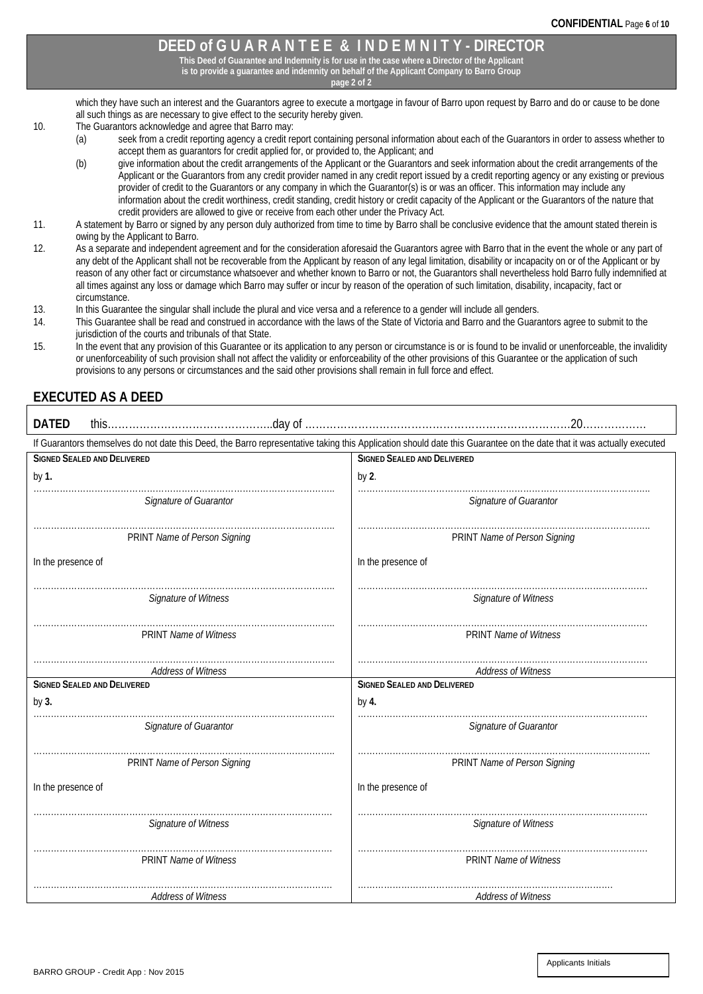# **DEED of G U A R A N T E E & I N D E M N I T Y - DIRECTOR**

**This Deed of Guarantee and Indemnity is for use in the case where a Director of the Applicant is to provide a guarantee and indemnity on behalf of the Applicant Company to Barro Group**

**page 2 of 2**

which they have such an interest and the Guarantors agree to execute a mortgage in favour of Barro upon request by Barro and do or cause to be done all such things as are necessary to give effect to the security hereby given.

- 10. The Guarantors acknowledge and agree that Barro may:<br>(a) seek from a credit reporting agency a credit re
	- seek from a credit reporting agency a credit report containing personal information about each of the Guarantors in order to assess whether to accept them as guarantors for credit applied for, or provided to, the Applicant; and

(b) give information about the credit arrangements of the Applicant or the Guarantors and seek information about the credit arrangements of the Applicant or the Guarantors from any credit provider named in any credit report issued by a credit reporting agency or any existing or previous provider of credit to the Guarantors or any company in which the Guarantor(s) is or was an officer. This information may include any information about the credit worthiness, credit standing, credit history or credit capacity of the Applicant or the Guarantors of the nature that credit providers are allowed to give or receive from each other under the Privacy Act.

- 11. A statement by Barro or signed by any person duly authorized from time to time by Barro shall be conclusive evidence that the amount stated therein is owing by the Applicant to Barro.
- 12. As a separate and independent agreement and for the consideration aforesaid the Guarantors agree with Barro that in the event the whole or any part of any debt of the Applicant shall not be recoverable from the Applicant by reason of any legal limitation, disability or incapacity on or of the Applicant or by reason of any other fact or circumstance whatsoever and whether known to Barro or not, the Guarantors shall nevertheless hold Barro fully indemnified at all times against any loss or damage which Barro may suffer or incur by reason of the operation of such limitation, disability, incapacity, fact or circumstance.
- 13. In this Guarantee the singular shall include the plural and vice versa and a reference to a gender will include all genders.<br>14. This Guarantee shall be read and construed in accordance with the laws of the State of Vi
- This Guarantee shall be read and construed in accordance with the laws of the State of Victoria and Barro and the Guarantors agree to submit to the jurisdiction of the courts and tribunals of that State.
- 15. In the event that any provision of this Guarantee or its application to any person or circumstance is or is found to be invalid or unenforceable, the invalidity or unenforceability of such provision shall not affect the validity or enforceability of the other provisions of this Guarantee or the application of such provisions to any persons or circumstances and the said other provisions shall remain in full force and effect.

# **EXECUTED AS A DEED**

| <b>DATED</b>                                                                                                                                                          |                                    |  |  |  |  |  |
|-----------------------------------------------------------------------------------------------------------------------------------------------------------------------|------------------------------------|--|--|--|--|--|
| If Guarantors themselves do not date this Deed, the Barro representative taking this Application should date this Guarantee on the date that it was actually executed |                                    |  |  |  |  |  |
| <b>SIGNED SEALED AND DELIVERED</b>                                                                                                                                    | <b>SIGNED SEALED AND DELIVERED</b> |  |  |  |  |  |
| by 1.                                                                                                                                                                 | by 2.                              |  |  |  |  |  |
| Signature of Guarantor                                                                                                                                                | Signature of Guarantor             |  |  |  |  |  |
| PRINT Name of Person Signing                                                                                                                                          | PRINT Name of Person Signing       |  |  |  |  |  |
| In the presence of                                                                                                                                                    | In the presence of                 |  |  |  |  |  |
| Signature of Witness                                                                                                                                                  | Signature of Witness               |  |  |  |  |  |
| <b>PRINT Name of Witness</b>                                                                                                                                          | <b>PRINT Name of Witness</b>       |  |  |  |  |  |
| Address of Witness                                                                                                                                                    | Address of Witness                 |  |  |  |  |  |
| <b>SIGNED SEALED AND DELIVERED</b>                                                                                                                                    | <b>SIGNED SEALED AND DELIVERED</b> |  |  |  |  |  |
| by 3.                                                                                                                                                                 | by 4.                              |  |  |  |  |  |
| Signature of Guarantor                                                                                                                                                | Signature of Guarantor             |  |  |  |  |  |
| PRINT Name of Person Signing                                                                                                                                          | PRINT Name of Person Signing       |  |  |  |  |  |
| In the presence of                                                                                                                                                    | In the presence of                 |  |  |  |  |  |
| Signature of Witness                                                                                                                                                  | Signature of Witness               |  |  |  |  |  |
| <b>PRINT Name of Witness</b>                                                                                                                                          | <b>PRINT Name of Witness</b>       |  |  |  |  |  |
| <b>Address of Witness</b>                                                                                                                                             | <b>Address of Witness</b>          |  |  |  |  |  |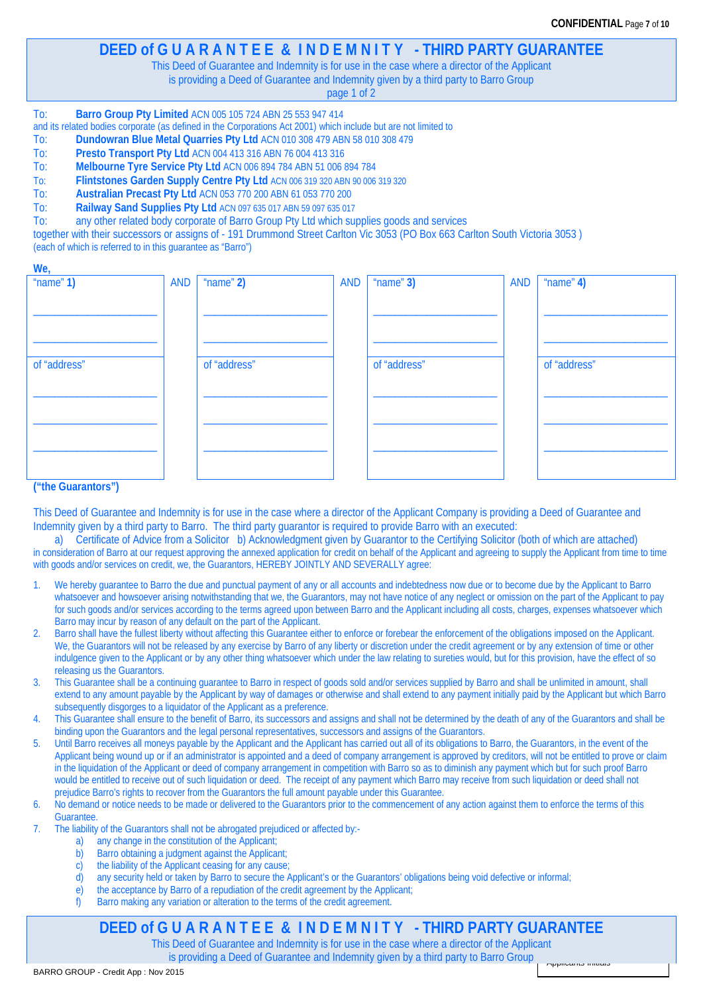Applicants Initials

# **DEED of G U A R A N T E E & I N D E M N I T Y - THIRD PARTY GUARANTEE**

This Deed of Guarantee and Indemnity is for use in the case where a director of the Applicant

is providing a Deed of Guarantee and Indemnity given by a third party to Barro Group

page 1 of 2

#### To: **Barro Group Pty Limited** ACN 005 105 724 ABN 25 553 947 414

and its related bodies corporate (as defined in the Corporations Act 2001) which include but are not limited to<br>To: Dundowran Blue Metal Quarries Pty Ltd ACN 010 308 479 ABN 58 010 308 479

- To: **Dundowran Blue Metal Quarries Pty Ltd** ACN 010 308 479 ABN 58 010 308 479
- Presto Transport Pty Ltd ACN 004 413 316 ABN 76 004 413 316
- To: **Melbourne Tyre Service Pty Ltd** ACN 006 894 784 ABN 51 006 894 784
- To: **Flintstones Garden Supply Centre Pty Ltd** ACN 006 319 320 ABN 90 006 319 320
- To: **Australian Precast Pty Ltd** ACN 053 770 200 ABN 61 053 770 200
- To: **Railway Sand Supplies Pty Ltd** ACN 097 635 017 ABN 59 097 635 017

To: any other related body corporate of Barro Group Pty Ltd which supplies goods and services

together with their successors or assigns of - 191 Drummond Street Carlton Vic 3053 (PO Box 663 Carlton South Victoria 3053 ) (each of which is referred to in this guarantee as "Barro")

| $\cdots$     |            |              |     |              |            |              |
|--------------|------------|--------------|-----|--------------|------------|--------------|
| " $name"1)$  | <b>AND</b> | " $name"2)$  | AND | $"name"$ 3)  | <b>AND</b> | " $name"$ 4) |
|              |            |              |     |              |            |              |
|              |            |              |     |              |            |              |
|              |            |              |     |              |            |              |
|              |            |              |     |              |            |              |
|              |            |              |     |              |            |              |
|              |            |              |     |              |            |              |
|              |            |              |     |              |            |              |
|              |            |              |     |              |            |              |
| of "address" |            | of "address" |     | of "address" |            | of "address" |
|              |            |              |     |              |            |              |
|              |            |              |     |              |            |              |
|              |            |              |     |              |            |              |
|              |            |              |     |              |            |              |
|              |            |              |     |              |            |              |
|              |            |              |     |              |            |              |
|              |            |              |     |              |            |              |
|              |            |              |     |              |            |              |
|              |            |              |     |              |            |              |
|              |            |              |     |              |            |              |
|              |            |              |     |              |            |              |
|              |            |              |     |              |            |              |
|              |            |              |     |              |            |              |

#### **("the Guarantors")**

**We,**

This Deed of Guarantee and Indemnity is for use in the case where a director of the Applicant Company is providing a Deed of Guarantee and Indemnity given by a third party to Barro. The third party guarantor is required to provide Barro with an executed:

a) Certificate of Advice from a Solicitor b) Acknowledgment given by Guarantor to the Certifying Solicitor (both of which are attached) in consideration of Barro at our request approving the annexed application for credit on behalf of the Applicant and agreeing to supply the Applicant from time to time with goods and/or services on credit, we, the Guarantors, HEREBY JOINTLY AND SEVERALLY agree:

- 1. We hereby guarantee to Barro the due and punctual payment of any or all accounts and indebtedness now due or to become due by the Applicant to Barro whatsoever and howsoever arising notwithstanding that we, the Guarantors, may not have notice of any neglect or omission on the part of the Applicant to pay for such goods and/or services according to the terms agreed upon between Barro and the Applicant including all costs, charges, expenses whatsoever which Barro may incur by reason of any default on the part of the Applicant.
- 2. Barro shall have the fullest liberty without affecting this Guarantee either to enforce or forebear the enforcement of the obligations imposed on the Applicant. We, the Guarantors will not be released by any exercise by Barro of any liberty or discretion under the credit agreement or by any extension of time or other indulgence given to the Applicant or by any other thing whatsoever which under the law relating to sureties would, but for this provision, have the effect of so releasing us the Guarantors.
- This Guarantee shall be a continuing guarantee to Barro in respect of goods sold and/or services supplied by Barro and shall be unlimited in amount, shall extend to any amount payable by the Applicant by way of damages or otherwise and shall extend to any payment initially paid by the Applicant but which Barro subsequently disgorges to a liquidator of the Applicant as a preference.
- 4. This Guarantee shall ensure to the benefit of Barro, its successors and assigns and shall not be determined by the death of any of the Guarantors and shall be binding upon the Guarantors and the legal personal representatives, successors and assigns of the Guarantors.
- 5. Until Barro receives all moneys payable by the Applicant and the Applicant has carried out all of its obligations to Barro, the Guarantors, in the event of the Applicant being wound up or if an administrator is appointed and a deed of company arrangement is approved by creditors, will not be entitled to prove or claim in the liquidation of the Applicant or deed of company arrangement in competition with Barro so as to diminish any payment which but for such proof Barro would be entitled to receive out of such liquidation or deed. The receipt of any payment which Barro may receive from such liquidation or deed shall not prejudice Barro's rights to recover from the Guarantors the full amount payable under this Guarantee.
- 6. No demand or notice needs to be made or delivered to the Guarantors prior to the commencement of any action against them to enforce the terms of this Guarantee.
- 7. The liability of the Guarantors shall not be abrogated prejudiced or affected by:
	- a) any change in the constitution of the Applicant;
	- b) Barro obtaining a judgment against the Applicant;
	- c) the liability of the Applicant ceasing for any cause;
	- d) any security held or taken by Barro to secure the Applicant's or the Guarantors' obligations being void defective or informal;
	- e) the acceptance by Barro of a repudiation of the credit agreement by the Applicant;<br>f) Barro making any variation or alteration to the terms of the credit agreement.
		- Barro making any variation or alteration to the terms of the credit agreement.

# **DEED of G U A R A N T E E & I N D E M N I T Y - THIRD PARTY GUARANTEE**

This Deed of Guarantee and Indemnity is for use in the case where a director of the Applicant is providing a Deed of Guarantee and Indemnity given by a third party to Barro Group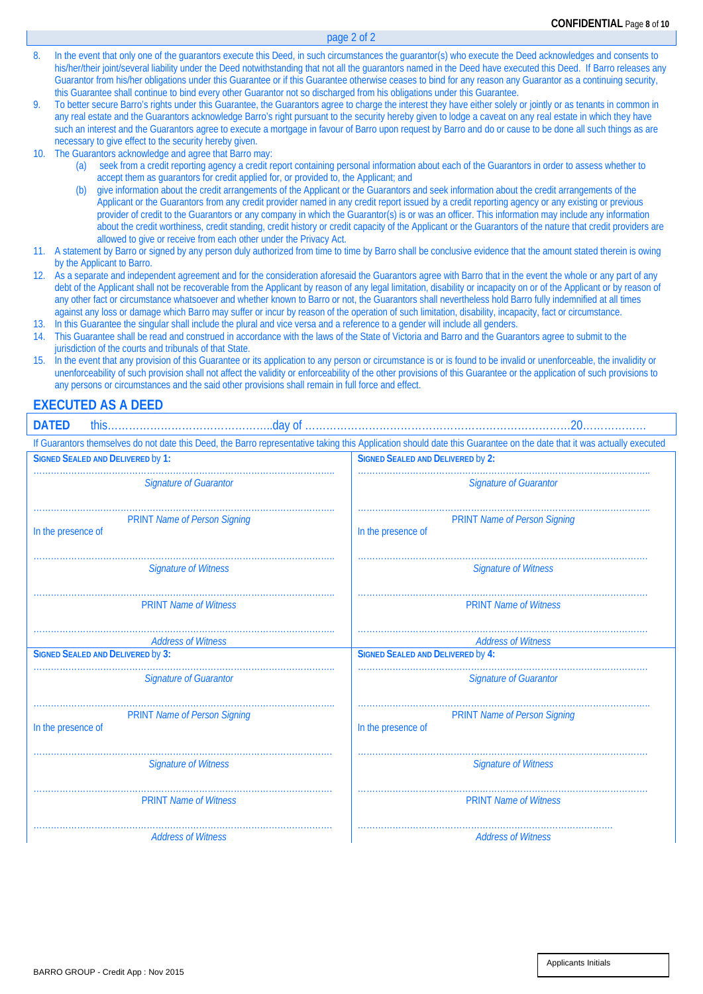8. In the event that only one of the guarantors execute this Deed, in such circumstances the guarantor(s) who execute the Deed acknowledges and consents to his/her/their joint/several liability under the Deed notwithstanding that not all the guarantors named in the Deed have executed this Deed. If Barro releases any Guarantor from his/her obligations under this Guarantee or if this Guarantee otherwise ceases to bind for any reason any Guarantor as a continuing security, this Guarantee shall continue to bind every other Guarantor not so discharged from his obligations under this Guarantee.

page 2 of 2

- 9. To better secure Barro's rights under this Guarantee, the Guarantors agree to charge the interest they have either solely or jointly or as tenants in common in any real estate and the Guarantors acknowledge Barro's right pursuant to the security hereby given to lodge a caveat on any real estate in which they have such an interest and the Guarantors agree to execute a mortgage in favour of Barro upon request by Barro and do or cause to be done all such things as are necessary to give effect to the security hereby given.
- 10. The Guarantors acknowledge and agree that Barro may:
	- seek from a credit reporting agency a credit report containing personal information about each of the Guarantors in order to assess whether to accept them as guarantors for credit applied for, or provided to, the Applicant; and
	- (b) give information about the credit arrangements of the Applicant or the Guarantors and seek information about the credit arrangements of the Applicant or the Guarantors from any credit provider named in any credit report issued by a credit reporting agency or any existing or previous provider of credit to the Guarantors or any company in which the Guarantor(s) is or was an officer. This information may include any information about the credit worthiness, credit standing, credit history or credit capacity of the Applicant or the Guarantors of the nature that credit providers are allowed to give or receive from each other under the Privacy Act.
- 11. A statement by Barro or signed by any person duly authorized from time to time by Barro shall be conclusive evidence that the amount stated therein is owing by the Applicant to Barro.
- As a separate and independent agreement and for the consideration aforesaid the Guarantors agree with Barro that in the event the whole or any part of any debt of the Applicant shall not be recoverable from the Applicant by reason of any legal limitation, disability or incapacity on or of the Applicant or by reason of any other fact or circumstance whatsoever and whether known to Barro or not, the Guarantors shall nevertheless hold Barro fully indemnified at all times against any loss or damage which Barro may suffer or incur by reason of the operation of such limitation, disability, incapacity, fact or circumstance. 13. In this Guarantee the singular shall include the plural and vice versa and a reference to a gender will include all genders.
- 14. This Guarantee shall be read and construed in accordance with the laws of the State of Victoria and Barro and the Guarantors agree to submit to the jurisdiction of the courts and tribunals of that State.
- 15. In the event that any provision of this Guarantee or its application to any person or circumstance is or is found to be invalid or unenforceable, the invalidity or unenforceability of such provision shall not affect the validity or enforceability of the other provisions of this Guarantee or the application of such provisions to any persons or circumstances and the said other provisions shall remain in full force and effect.

## **EXECUTED AS A DEED**

| <b>DATED</b>                                                                                                                                                          |                                                           |  |  |  |  |  |  |
|-----------------------------------------------------------------------------------------------------------------------------------------------------------------------|-----------------------------------------------------------|--|--|--|--|--|--|
| If Guarantors themselves do not date this Deed, the Barro representative taking this Application should date this Guarantee on the date that it was actually executed |                                                           |  |  |  |  |  |  |
| <b>SIGNED SEALED AND DELIVERED by 1:</b>                                                                                                                              | <b>SIGNED SEALED AND DELIVERED by 2:</b>                  |  |  |  |  |  |  |
| <b>Signature of Guarantor</b>                                                                                                                                         | <b>Signature of Guarantor</b>                             |  |  |  |  |  |  |
| <b>PRINT Name of Person Signing</b><br>In the presence of                                                                                                             | <b>PRINT Name of Person Signing</b><br>In the presence of |  |  |  |  |  |  |
| <b>Signature of Witness</b>                                                                                                                                           | <b>Signature of Witness</b>                               |  |  |  |  |  |  |
| <b>PRINT Name of Witness</b>                                                                                                                                          | <b>PRINT Name of Witness</b>                              |  |  |  |  |  |  |
| <b>Address of Witness</b>                                                                                                                                             | <b>Address of Witness</b>                                 |  |  |  |  |  |  |
| <b>SIGNED SEALED AND DELIVERED by 3:</b>                                                                                                                              | <b>SIGNED SEALED AND DELIVERED by 4:</b>                  |  |  |  |  |  |  |
| <b>Signature of Guarantor</b>                                                                                                                                         | <b>Signature of Guarantor</b>                             |  |  |  |  |  |  |
| <b>PRINT Name of Person Signing</b><br>In the presence of                                                                                                             | <b>PRINT Name of Person Signing</b><br>In the presence of |  |  |  |  |  |  |
| <b>Signature of Witness</b>                                                                                                                                           | <b>Signature of Witness</b>                               |  |  |  |  |  |  |
| <b>PRINT Name of Witness</b>                                                                                                                                          | <b>PRINT Name of Witness</b>                              |  |  |  |  |  |  |
| <b>Address of Witness</b>                                                                                                                                             | <b>Address of Witness</b>                                 |  |  |  |  |  |  |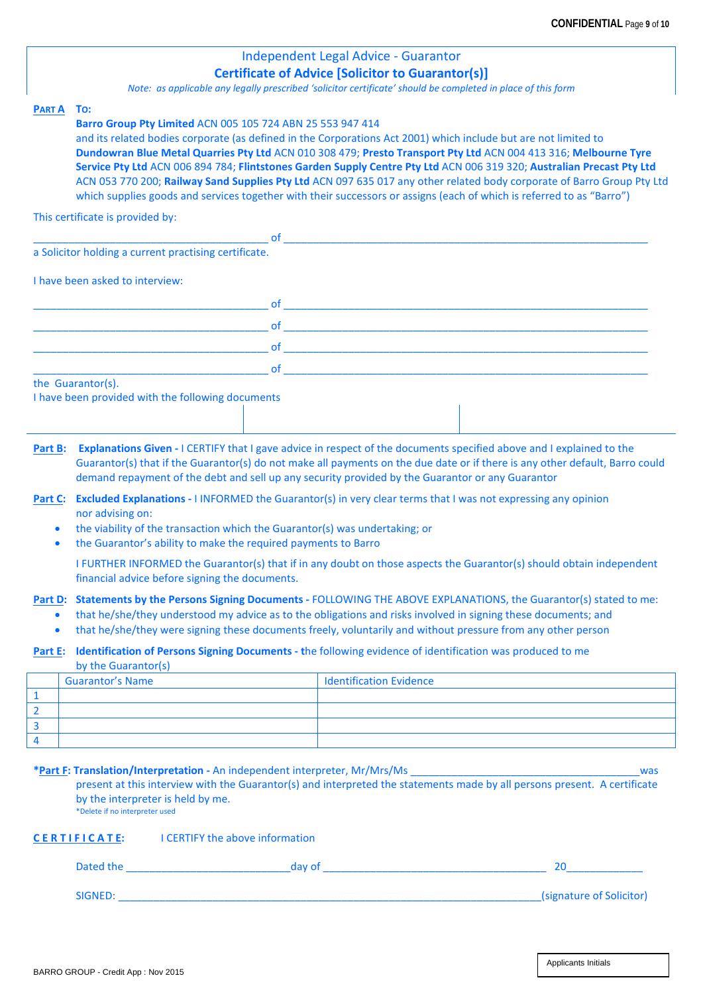## Independent Legal Advice - Guarantor **Certificate of Advice [Solicitor to Guarantor(s)]**

*Note: as applicable any legally prescribed 'solicitor certificate' should be completed in place of this form*

#### **PART A TO:**

#### **Barro Group Pty Limited** ACN 005 105 724 ABN 25 553 947 414

and its related bodies corporate (as defined in the Corporations Act 2001) which include but are not limited to **Dundowran Blue Metal Quarries Pty Ltd** ACN 010 308 479; **Presto Transport Pty Ltd** ACN 004 413 316; **Melbourne Tyre Service Pty Ltd** ACN 006 894 784; **Flintstones Garden Supply Centre Pty Ltd** ACN 006 319 320; **Australian Precast Pty Ltd**  ACN 053 770 200; **Railway Sand Supplies Pty Ltd** ACN 097 635 017 any other related body corporate of Barro Group Pty Ltd which supplies goods and services together with their successors or assigns (each of which is referred to as "Barro")

This certificate is provided by:

|                                                       | <b>of</b> |  |  |  |
|-------------------------------------------------------|-----------|--|--|--|
| a Solicitor holding a current practising certificate. |           |  |  |  |
| I have been asked to interview:                       |           |  |  |  |
|                                                       | of        |  |  |  |
|                                                       | of        |  |  |  |
|                                                       | <b>of</b> |  |  |  |
|                                                       | <b>of</b> |  |  |  |
| the Guarantor(s).                                     |           |  |  |  |
| I have been provided with the following documents     |           |  |  |  |
|                                                       |           |  |  |  |

| Part B: Explanations Given - I CERTIFY that I gave advice in respect of the documents specified above and I explained to the |
|------------------------------------------------------------------------------------------------------------------------------|
| Guarantor(s) that if the Guarantor(s) do not make all payments on the due date or if there is any other default, Barro could |
| demand repayment of the debt and sell up any security provided by the Guarantor or any Guarantor                             |

**Part C: Excluded Explanations -** I INFORMED the Guarantor(s) in very clear terms that I was not expressing any opinion nor advising on:

- the viability of the transaction which the Guarantor(s) was undertaking; or
- the Guarantor's ability to make the required payments to Barro

I FURTHER INFORMED the Guarantor(s) that if in any doubt on those aspects the Guarantor(s) should obtain independent financial advice before signing the documents.

### **Part D: Statements by the Persons Signing Documents -** FOLLOWING THE ABOVE EXPLANATIONS, the Guarantor(s) stated to me:

- that he/she/they understood my advice as to the obligations and risks involved in signing these documents; and
- that he/she/they were signing these documents freely, voluntarily and without pressure from any other person

#### **Part E: Identification of Persons Signing Documents - t**he following evidence of identification was produced to me

by the Guarantor(s)

| Guarantor's Name | I Identification Evidence |
|------------------|---------------------------|
|                  |                           |
|                  |                           |
|                  |                           |
|                  |                           |

#### **\*Part F: Translation/Interpretation -** An independent interpreter, Mr/Mrs/Ms \_\_\_\_\_\_\_\_\_\_\_\_\_\_\_\_\_\_\_\_\_\_\_\_\_\_\_\_\_\_\_\_\_\_\_\_\_\_\_was

present at this interview with the Guarantor(s) and interpreted the statements made by all persons present. A certificate by the interpreter is held by me.

\*Delete if no interpreter used

#### **C E R T I F I C A T E:** I CERTIFY the above information

| Dated the | dav of |                          |
|-----------|--------|--------------------------|
|           |        |                          |
| SIGNED:   |        | (signature of Solicitor) |